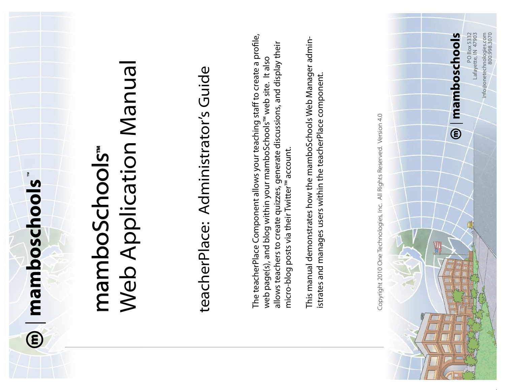

# Web Application Manual **Web Application Manua** mamboSchools mamboSchools

# teacherPlace: Administrator's Guide teacherPlace: Administrator's Guide

The teacherPlace Component allows your teaching staff to create a profile, The teacherPlace Component allows your teaching staff to create a profile, allows teachers to create quizzes, generate discussions, and display their allows teachers to create quizzes, generate discussions, and display their<br>micro-blog posts via their Twitter™ account. web page(s), and blog within your mamboSchools<sup>™</sup> web site. It also web page(s), and blog within your mamboSchools™ web site. micro-blog posts via their Twitter™ account.

This manual demonstrates how the mamboSchools Web Manager admin-This manual demonstrates how the mamboSchools Web Manager administrates and manages users within the teacherPlace component. istrates and manages users within the teacherPlace component. mamboschools

Copyright 2010 One Technologies, Inc. All Rights Reserved. Version 4.0

Copyright 2010 One Technologies, Inc. All Rights Reserved. Version 4.0

PO Box 5332 Lafayette, IN 47903

PO Box 5332<br>Lafayette, IN 47903

info@onetechnologies.com

info@onetechnologies.com

800.998.3070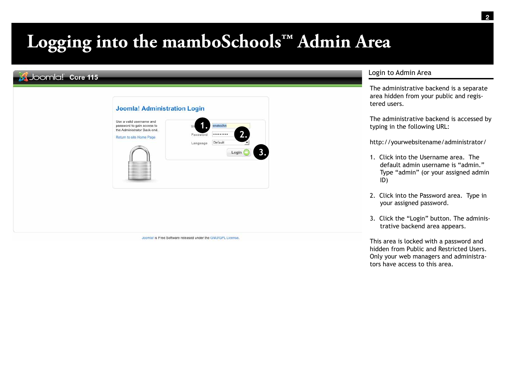# **Logging into the mamboSchools™ Admin Area**

# Joomlal Core 115

| Default<br>Language | password to gain access to<br>the Administrator Back-end.<br>Return to site Home Page | onetechn<br>Us<br>2.<br><br>Password |
|---------------------|---------------------------------------------------------------------------------------|--------------------------------------|
| Login               |                                                                                       | 3.                                   |
|                     |                                                                                       |                                      |

Joomlal is Free Software released under the GNU/GPL License.

# Login to Admin Area

The administrative backend is a separate area hidden from your public and registered users.

The administrative backend is accessed by typing in the following URL:

http://yourwebsitename/administrator/

- 1. Click into the Username area. The default admin username is "admin." Type "admin" (or your assigned admin ID)
- 2. Click into the Password area. Type in your assigned password.
- 3. Click the "Login" button. The administrative backend area appears.

This area is locked with a password and hidden from Public and Restricted Users. Only your web managers and administrators have access to this area.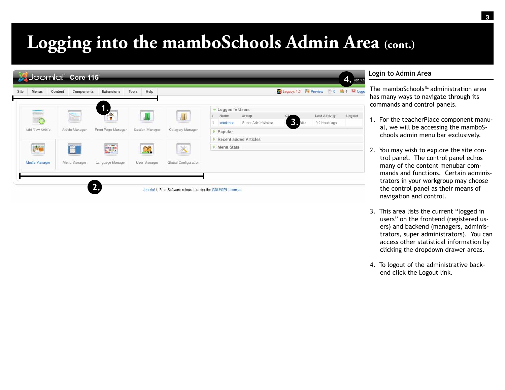# **Logging into the mamboSchools Admin Area (cont.)**

| Site<br>Menus   | Content<br>Components | Extensions         | Help<br>Tools   |                      |                      |                              | Legacy: 1.0   Preview 0 \$1 O Logo |                                       |        |
|-----------------|-----------------------|--------------------|-----------------|----------------------|----------------------|------------------------------|------------------------------------|---------------------------------------|--------|
|                 |                       | 1.,                |                 |                      | Logged in Users<br>÷ |                              |                                    |                                       |        |
|                 | ħ                     | $\triangle$        |                 |                      | Name<br>onetechn     | Group<br>Super Administrator |                                    | <b>Last Activity</b><br>0.0 hours ago | Logout |
| Add New Article | Article Manager       | Front Page Manager | Section Manager | Category Manager     | Popular              |                              |                                    |                                       |        |
|                 |                       |                    |                 |                      |                      | <b>Recent added Articles</b> |                                    |                                       |        |
| IL P            | 画                     | <b>Baile</b>       |                 | $\times$             | Menu Stats           |                              |                                    |                                       |        |
| Media Manager   | Menu Manager          | Language Manager   | User Manager    | Global Configuration |                      |                              |                                    |                                       |        |
|                 |                       |                    |                 |                      |                      |                              |                                    |                                       |        |

### Login to Admin Area

The mamboSchools™ administration area has many ways to navigate through its commands and control panels.

- 1. For the teacherPlace component manual, we will be accessing the mamboSchools admin menu bar exclusively.
- 2. You may wish to explore the site control panel. The control panel echos many of the content menubar commands and functions. Certain administrators in your workgroup may choose the control panel as their means of navigation and control.
- 3. This area lists the current "logged in users" on the frontend (registered users) and backend (managers, administrators, super administrators). You can access other statistical information by clicking the dropdown drawer areas.
- 4. To logout of the administrative backend click the Logout link.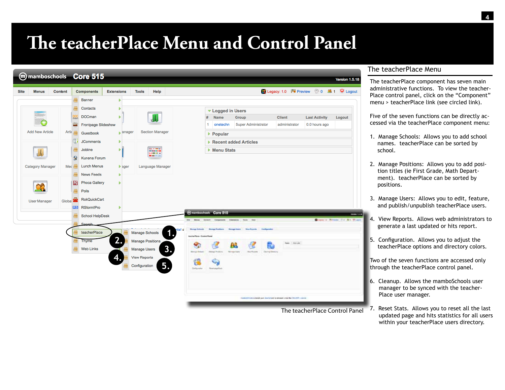# **The teacherPlace Menu and Control Panel**



### The teacherPlace Menu

The teacherPlace component has seven main administrative functions. To view the teacher-Place control panel, click on the "Component" menu > teacherPlace link (see circled link).

Five of the seven functions can be directly accessed via the teacherPlace component menu:

- 1. Manage Schools: Allows you to add school names. teacherPlace can be sorted by school.
- 2. Manage Positions: Allows you to add position titles (ie First Grade, Math Department). teacherPlace can be sorted by positions.
- 3. Manage Users: Allows you to edit, feature, and publish/unpublish teacherPlace users.
- 4. View Reports. Allows web administrators to generate a last updated or hits report.
- 5. Configuration. Allows you to adjust the teacherPlace options and directory colors.

Two of the seven functions are accessed only through the teacherPlace control panel.

- 6. Cleanup. Allows the mamboSchools user manager to be synced with the teacher-Place user manager.
- 7. Reset Stats. Allows you to reset all the last updated page and hits statistics for all users within your teacherPlace users directory.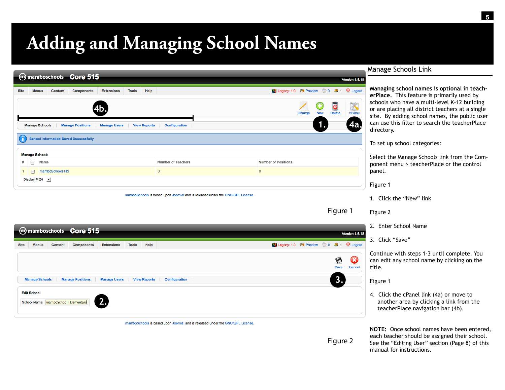# **Adding and Managing School Names**

|             |   |                                | m mamboschools Core 515                      |                                   |              |                     |                                                                               |                                      |        |          |                                   | <b>Version 1.5.18</b>  |
|-------------|---|--------------------------------|----------------------------------------------|-----------------------------------|--------------|---------------------|-------------------------------------------------------------------------------|--------------------------------------|--------|----------|-----------------------------------|------------------------|
| <b>Site</b> |   | <b>Menus</b><br><b>Content</b> | <b>Components</b>                            | <b>Extensions</b>                 | <b>Tools</b> | Help                |                                                                               | Legacy: 1.0   Preview 20 31 O Logout |        |          |                                   |                        |
|             |   | <b>Manage Schools</b>          | <b>Manage Positions</b>                      | <b>4b.</b><br><b>Manage Users</b> |              | <b>View Reports</b> | <b>Configuration</b>                                                          |                                      | Change | G<br>New | $\ddot{\bullet}$<br><b>Delete</b> | <b>Exercise</b><br>4a, |
|             |   |                                | <b>School Information Saved Successfully</b> |                                   |              |                     |                                                                               |                                      |        |          |                                   |                        |
|             |   | <b>Manage Schools</b>          |                                              |                                   |              |                     |                                                                               |                                      |        |          |                                   |                        |
| #           | □ | <b>Name</b>                    |                                              |                                   |              |                     | <b>Number of Teachers</b>                                                     | <b>Number of Positions</b>           |        |          |                                   |                        |
|             | □ | mamboSchools HS                |                                              |                                   |              |                     | $\mathbf{0}$                                                                  | $\bf{0}$                             |        |          |                                   |                        |
|             |   | Display # 20 $\rightarrow$     |                                              |                                   |              |                     |                                                                               |                                      |        |          |                                   |                        |
|             |   |                                |                                              |                                   |              |                     | mamboSchools is based upon Joomla! and is released under the GNU/GPL License. |                                      |        |          |                                   |                        |

### Manage Schools Link

**Managing school names is optional in teacherPlace.** This feature is primarily used by schools who have a multi-level K-12 building or are placing all district teachers at a single site. By adding school names, the public user can use this filter to search the teacherPlace directory.

To set up school categories:

Select the Manage Schools link from the Component menu > teacherPlace or the control panel.

Figure 1

1. Click the "New" link

Figure 2 Figure 1

**Version 1.5.18** 

 $\bullet$ Cancel

Legacy: 1.0 **M** Preview 0 3 1 C Logout

Figure 2

- 2. Enter School Name
- 3. Click "Save"

Continue with steps 1-3 until complete. You can edit any school name by clicking on the title.

Figure 1

4. Click the cPanel link (4a) or move to another area by clicking a link from the teacherPlace navigation bar (4b).

**NOTE:** Once school names have been entered, each teacher should be assigned their school. See the "Editing User" section (Page 8) of this manual for instructions.

| Save                                                                                                                        |
|-----------------------------------------------------------------------------------------------------------------------------|
| ົ<br><b>Manage Users</b><br><b>Manage Positions</b><br><b>View Reports</b><br><b>Manage Schools</b><br><b>Configuration</b> |
| <b>Edit School</b><br>Chool Name: mamboSchools Elementary                                                                   |
|                                                                                                                             |

m mamboschools Core 515

Content

**Components** 

Extensions

Tools

Help

Site

**Menus** 

mamboSchools is based upon Joomla! and is released under the GNU/GPL License.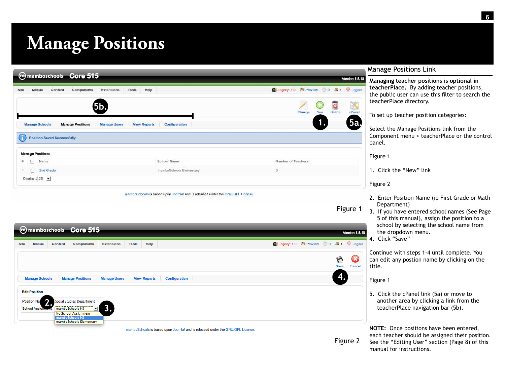# **Manage Positions**

| mmamboschools Core 515                           |                                                             |                    |                                                                | <b>Version 1.5.18</b> |
|--------------------------------------------------|-------------------------------------------------------------|--------------------|----------------------------------------------------------------|-----------------------|
| Menus<br>Content<br>Site<br>Components           | Help<br><b>Tools</b><br><b>Extensions</b>                   |                    | Legacy: 1.0   Preview 0 \$1 O Logout                           |                       |
| <b>5b.</b>                                       |                                                             |                    | $\overline{\mathbf{o}}$<br>G<br><b>New</b><br>Delete<br>Change | K<br>cPanel           |
|                                                  |                                                             |                    |                                                                |                       |
| <b>Manage Schools</b><br><b>Manage Positions</b> | <b>Manage Users</b><br>Configuration<br><b>View Reports</b> |                    |                                                                | 5a                    |
| <b>Position Saved Successfully</b>               |                                                             |                    |                                                                |                       |
| <b>Manage Positions</b>                          |                                                             |                    |                                                                |                       |
| Ð<br>Name:<br>#                                  | School Name                                                 | Number of Teachers |                                                                |                       |
| П<br>2nd Grade                                   | mamboSchools Elementary                                     | $\theta$           |                                                                |                       |

mamboSchools is based upon Joomlal and is released under the GNU/GPL License.

|  | Manage Positions Link |  |  |
|--|-----------------------|--|--|
|--|-----------------------|--|--|

**Managing teacher positions is optional in teacherPlace.** By adding teacher positions, the public user can use this filter to search the teacherPlace directory.

To set up teacher position categories:

Select the Manage Positions link from the Component menu > teacherPlace or the control panel.

Figure 1

1. Click the "New" link

Figure 2

Figure 1

- 2. Enter Position Name (ie First Grade or Math Department)
- 3. If you have entered school names (See Page 5 of this manual), assign the position to a school by selecting the school name from the dropdown menu.
- 4. Click "Save"

Continue with steps 1-4 until complete. You can edit any postion name by clicking on the title.

### Figure 1

5. Click the cPanel link (5a) or move to another area by clicking a link from the teacherPlace navigation bar (5b).

**NOTE:** Once positions have been entered, each teacher should be assigned their position. See the "Editing User" section (Page 8) of this manual for instructions.

|             |                                      |             | m mamboschools Core 515                                            |                     |              |                     |                                                                               |                               | <b>Version 1.5.18</b> |
|-------------|--------------------------------------|-------------|--------------------------------------------------------------------|---------------------|--------------|---------------------|-------------------------------------------------------------------------------|-------------------------------|-----------------------|
| <b>Site</b> | <b>Menus</b>                         | Content     | <b>Components</b>                                                  | <b>Extensions</b>   | <b>Tools</b> | Help                | Legacy: 1.0   Preview 20 31 C Logout                                          |                               |                       |
|             |                                      |             |                                                                    |                     |              |                     |                                                                               | $\blacktriangleright$<br>Save | Œ<br>Cancel           |
|             | <b>Manage Schools</b>                |             | <b>Manage Positions</b>                                            | <b>Manage Users</b> |              | <b>View Reports</b> | <b>Configuration</b>                                                          | 4.                            |                       |
|             | <b>Edit Position</b>                 |             |                                                                    |                     |              |                     |                                                                               |                               |                       |
|             | Position Nat<br>ີ<br>School Assignin | <u>. . </u> | Social Studies Department<br>mamboSchools HS<br>$\mathbf{r}$       | 3.                  |              |                     |                                                                               |                               |                       |
|             |                                      |             | No School Assignment<br>mamboSchools HS<br>mamboSchools Elementary |                     |              |                     |                                                                               |                               |                       |
|             |                                      |             |                                                                    |                     |              |                     | mamboSchools is based upon Joomla! and is released under the GNU/GPL License. |                               |                       |
|             |                                      |             |                                                                    |                     |              |                     |                                                                               |                               | Figure 2              |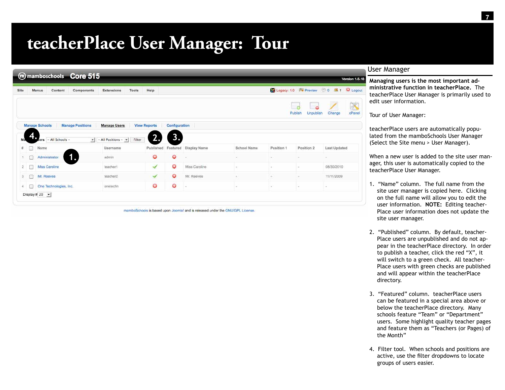# **teacherPlace User Manager: Tour**

|                |    | m mamboschools Core 515                          |                                             |                     |               |                       |             |            |                                                    | <b>Version 1.5.18</b>                  |
|----------------|----|--------------------------------------------------|---------------------------------------------|---------------------|---------------|-----------------------|-------------|------------|----------------------------------------------------|----------------------------------------|
| Site           |    | Content<br>Menus<br><b>Components</b>            | Tools<br>Extensions                         | Help                |               |                       |             |            |                                                    | C Legacy: 1.0 M Preview 0 3 1 U Logout |
|                |    |                                                  |                                             |                     |               |                       |             |            | $\overline{a}$<br>m<br>Publish<br><b>Unpublish</b> | X<br>cPanel<br>Change                  |
|                |    | <b>Manage Schools</b><br><b>Manage Positions</b> | <b>Manage Users</b>                         | <b>View Reports</b> | Configuration |                       |             |            |                                                    |                                        |
| Ma.            |    | ers - All Schools -                              | $\mathbf{v}$<br>All Positions - v<br>Filter | າ<br>L.             | 3.            |                       |             |            |                                                    |                                        |
| #              |    | Name                                             | Username                                    | Published           |               | Featured Display Name | School Name | Position 1 | Position 2                                         | <b>Last Updated</b>                    |
|                |    | íB.<br>Administrator                             | admin                                       | Ó                   | $\bullet$     |                       | $\sim$      | $\sim$     | $\frac{1}{2}$                                      | $\sim$                                 |
| $\overline{2}$ | m  | Miss Caroline                                    | teachert                                    | ↵                   | $\bullet$     | Miss Caroline         | $\sim$      | $\sim$     | $\sim$                                             | 08/30/2010                             |
| 3              | 49 | Mr. Reeves                                       | teacher2                                    | ✓                   | $\bullet$     | Mr. Reeves            | $\sim$      | w.         | $\sim$                                             | 11/11/2009                             |
| 4              | 医头 | One Technologies, Inc.                           | onetechn                                    | O                   | $\bullet$     | $\sim$                | w           | x          | $\sim$                                             | $\sim$                                 |
|                |    | Display # 20 $\rightarrow$                       |                                             |                     |               |                       |             |            |                                                    |                                        |

mamboSchools is based upon Joomlal and is released under the GNU/GPL License

### User Manager

**Managing users is the most important administrative function in teacherPlace.** The teacherPlace User Manager is primarily used to edit user information.

Tour of User Manager:

teacherPlace users are automatically populated from the mamboSchools User Manager (Select the Site menu > User Manager).

When a new user is added to the site user manager, this user is automatically copied to the teacherPlace User Manager.

- 1. "Name" column. The full name from the site user manager is copied here. Clicking on the full name will allow you to edit the user information. **NOTE:** Editing teacher-Place user information does not update the site user manager.
- 2. "Published" column. By default, teacher-Place users are unpublished and do not appear in the teacherPlace directory. In order to publish a teacher, click the red "X", it will switch to a green check. All teacher-Place users with green checks are published and will appear within the teacherPlace directory.
- 3. "Featured" column. teacherPlace users can be featured in a special area above or below the teacherPlace directory. Many schools feature "Team" or "Department" users. Some highlight quality teacher pages and feature them as "Teachers (or Pages) of the Month"
- 4. Filter tool. When schools and positions are active, use the filter dropdowns to locate groups of users easier.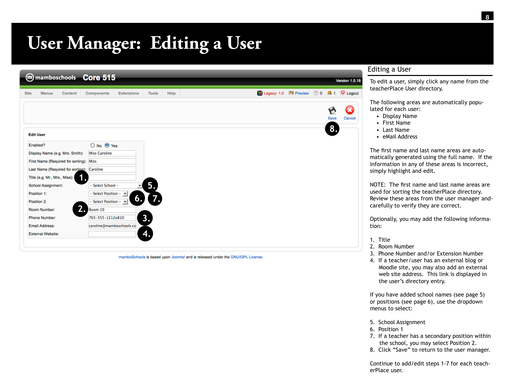# **User Manager: Editing a User**

|             |                               |                                            | m mamboschools Core 515                   |                   |              |      |             |                                   |             | Version 1.5.18 |
|-------------|-------------------------------|--------------------------------------------|-------------------------------------------|-------------------|--------------|------|-------------|-----------------------------------|-------------|----------------|
| <b>Site</b> | <b>Menus</b>                  | <b>Content</b>                             | <b>Components</b>                         | <b>Extensions</b> | <b>Tools</b> | Help | Legacy: 1.0 | $\mathbb{F}$ Preview $\Diamond$ 0 | <b>33 1</b> | C Logout       |
|             |                               |                                            |                                           |                   |              |      |             |                                   | ۴           |                |
|             |                               |                                            |                                           |                   |              |      |             |                                   | Save        | Cancel         |
|             |                               |                                            |                                           |                   |              |      |             |                                   | 8.          |                |
|             | <b>Edit User</b>              |                                            |                                           |                   |              |      |             |                                   |             |                |
|             | Enabled?                      |                                            | O No O Yes                                |                   |              |      |             |                                   |             |                |
|             |                               | Display Name (e.g. Mrs. Smith):            | <b>Miss Caroline</b>                      |                   |              |      |             |                                   |             |                |
|             |                               | First Name (Required for sorting): Miss    |                                           |                   |              |      |             |                                   |             |                |
|             |                               | Last Name (Required for sorting): Caroline |                                           |                   |              |      |             |                                   |             |                |
|             | Title (e.g. Mr., Mrs., Miss): |                                            |                                           |                   |              |      |             |                                   |             |                |
|             | School Assignment:            |                                            | - Select School -                         |                   | 5.           |      |             |                                   |             |                |
|             | Position 1:                   |                                            | $-$ Select Position $ \blacktriangledown$ |                   |              |      |             |                                   |             |                |
|             | Position 2:                   |                                            | $-$ Select Position $ \blacktriangledown$ | 6.                | 7.           |      |             |                                   |             |                |
|             | Room Number:                  | $\overline{\mathbf{2}}$ .                  | Room 10                                   |                   |              |      |             |                                   |             |                |
|             | Phone Number:                 |                                            | 765-555-1212x810                          |                   | 3.           |      |             |                                   |             |                |
|             | Email Address:                |                                            | caroline@mamboschools.co                  |                   |              |      |             |                                   |             |                |
|             | <b>External Website:</b>      |                                            |                                           |                   | 47           |      |             |                                   |             |                |
|             |                               |                                            |                                           |                   |              |      |             |                                   |             |                |

mamboSchools is based upon Joomla! and is released under the GNU/GPL License.

### Editing a User

To edit a user, simply click any name from the teacherPlace User directory.

The following areas are automatically populated for each user:

- Display Name
- First Name
- Last Name
- eMail Address

The first name and last name areas are automatically generated using the full name. If the information in any of these areas is incorrect, simply highlight and edit.

NOTE: The first name and last name areas are used for sorting the teacherPlace directory. Review these areas from the user manager andcarefully to verify they are correct.

Optionally, you may add the following information:

- 1. Title
- 2. Room Number
- 3. Phone Number and/or Extension Number
- 4. If a teacher/user has an external blog or Moodle site, you may also add an external web site address. This link is displayed in the user's directory entry.

If you have added school names (see page 5) or positions (see page 6), use the dropdown menus to select:

- 5. School Assignment
- 6. Position 1
- 7. If a teacher has a secondary position within the school, you may select Position 2.
- 8. Click "Save" to return to the user manager.

Continue to add/edit steps 1-7 for each teacherPlace user.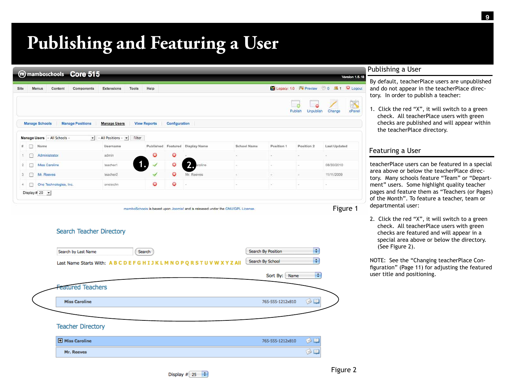# **Publishing and Featuring a User**

|      |    |                            | m mamboschools Core 515      |                                                      |                     |               |                                 |             |                                        |                             | <b>Version 1.5.18</b>                           |
|------|----|----------------------------|------------------------------|------------------------------------------------------|---------------------|---------------|---------------------------------|-------------|----------------------------------------|-----------------------------|-------------------------------------------------|
| Site |    | Menus                      | Content<br>Components        | Extensions<br>Tools                                  | Help                |               |                                 |             |                                        |                             | Legacy: 1.0 <sup>N</sup> Preview 0 3 1 U Logout |
|      |    |                            |                              |                                                      |                     |               |                                 |             |                                        | Publish<br><b>Unpublish</b> | X<br>Change<br>cPanel                           |
|      |    | <b>Manage Schools</b>      | <b>Manage Positions</b>      | <b>Manage Users</b>                                  | <b>View Reports</b> | Configuration |                                 |             |                                        |                             |                                                 |
|      |    |                            | Manage Users - All Schools - | $\bullet$   - All Positions - $\bullet$<br>Filter    |                     |               |                                 |             |                                        |                             |                                                 |
|      | m. | Name                       |                              | Username                                             |                     |               | Published Featured Display Name | School Name | Position 1                             | Position 2                  | <b>Last Updated</b>                             |
|      | n  | Administrator              |                              | admin                                                | O                   | O             |                                 |             |                                        | ٠                           |                                                 |
|      | ◙  | Miss Caroline              |                              | teachert                                             |                     | O             | 2.<br>aroline                   |             |                                        | ×                           | 08/30/2010                                      |
|      | p. | Mr. Reeves                 |                              | teacher2                                             |                     | o             | Mr. Reeves                      |             |                                        | Ξ                           | 11/11/2009                                      |
| 4.   | 国  |                            | One Technologies, Inc.       | onetechn                                             | G                   | o             |                                 | $\sim$      | T                                      | ×                           | ٠                                               |
|      |    | Display # 20 $\rightarrow$ |                              |                                                      |                     |               |                                 |             |                                        |                             |                                                 |
|      |    |                            | Search by Last Name          | Search Teacher Directory                             | Search              |               |                                 |             | Search By Position<br>Search By School | ÷<br>$\overline{\cdot}$     |                                                 |
|      |    |                            |                              | Last Name Starts With: ABCDEFGHIJKLMNOPQRSTUVWXYZAll |                     |               |                                 |             | Sort By: Name                          | ÷                           |                                                 |
|      |    |                            | <b>Featured Teachers</b>     |                                                      |                     |               |                                 |             |                                        |                             |                                                 |
|      |    |                            | <b>Miss Caroline</b>         |                                                      |                     |               |                                 |             | 765-555-1212x810                       | $\otimes$ or                |                                                 |
|      |    |                            | <b>Teacher Directory</b>     |                                                      |                     |               |                                 |             |                                        |                             |                                                 |
|      |    |                            |                              |                                                      |                     |               |                                 |             |                                        |                             |                                                 |
|      |    |                            | Miss Caroline                |                                                      |                     |               |                                 |             |                                        | O<br>EE                     |                                                 |

### Publishing a User

By default, teacherPlace users are unpublished and do not appear in the teacherPlace directory. In order to publish a teacher:

1. Click the red "X", it will switch to a green check. All teacherPlace users with green checks are published and will appear within the teacherPlace directory.

### Featuring a User

teacherPlace users can be featured in a special area above or below the teacherPlace directory. Many schools feature "Team" or "Department" users. Some highlight quality teacher pages and feature them as "Teachers (or Pages) of the Month". To feature a teacher, team or departmental user:

2. Click the red "X", it will switch to a green check. All teacherPlace users with green checks are featured and will appear in a special area above or below the directory. (See Figure 2).

NOTE: See the "Changing teacherPlace Configuration" (Page 11) for adjusting the featured user title and positioning.

Mr. Reeves

 $\circledcirc$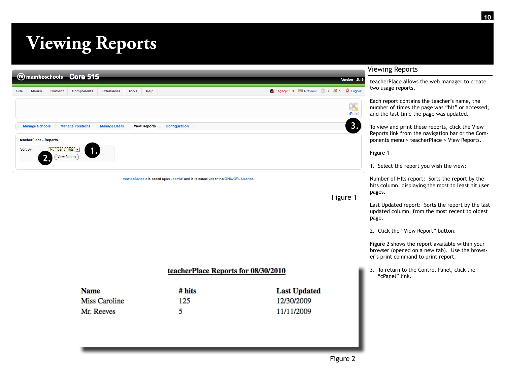# **Viewing Reports**

|             | m mamboschools Core 515<br>Version 1.5.1 |                          |                          |                     |              |                     |                                      |                              |  |  |  |
|-------------|------------------------------------------|--------------------------|--------------------------|---------------------|--------------|---------------------|--------------------------------------|------------------------------|--|--|--|
| <b>Site</b> | <b>Menus</b>                             | <b>Content</b>           | <b>Components</b>        | <b>Extensions</b>   | <b>Tools</b> | Help                | Legacy: 1.0   Preview 0 3 1 O Logout |                              |  |  |  |
|             | <b>Manage Schools</b>                    |                          | <b>Manage Positions</b>  | <b>Manage Users</b> |              | <b>View Reports</b> | <b>Configuration</b>                 | $\mathbb{X}$<br>cPanel<br>3. |  |  |  |
|             | teacherPlace - Reports<br>Sort By:       | Number of Hits   -<br>L. | 1.<br><b>View Report</b> |                     |              |                     |                                      |                              |  |  |  |

Figure 1

### Viewing Reports

teacherPlace allows the web manager to create two usage reports.

Each report contains the teacher's name, the number of times the page was "hit" or accessed, and the last time the page was updated.

To view and print these reports, click the View Reports link from the navigation bar or the Components menu > teacherPlace > View Reports.

Figure 1

1. Select the report you wish the view:

Number of HIts report: Sorts the report by the hits column, displaying the most to least hit user pages.

Last Updated report: Sorts the report by the last updated column, from the most recent to oldest page.

2. Click the "View Report" button.

Figure 2 shows the report available within your browser (opened on a new tab). Use the browser's print command to print report.

3. To return to the Control Panel, click the "cPanel" link.

## teacherPlace Reports for 08/30/2010

| <b>Name</b>   | # hits | <b>Last Updated</b> |
|---------------|--------|---------------------|
| Miss Caroline | 125    | 12/30/2009          |
| Mr. Reeves    |        | 11/11/2009          |

mamboSchools is based upon Joomla! and is released under the GNU/GPL License.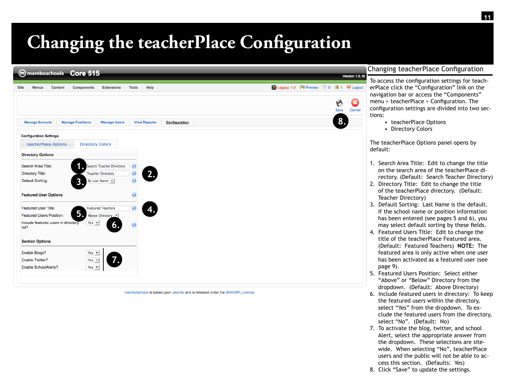# **Changing the teacherPlace Configuration**

| <b>Site</b><br><b>Menus</b><br><b>Content</b> | <b>Components</b>        | <b>Extensions</b>               | <b>Tools</b>            | Help                |               |  |  | Legacy: 1.0 Mil Preview 20 34 1 C Logout |  |      |        |
|-----------------------------------------------|--------------------------|---------------------------------|-------------------------|---------------------|---------------|--|--|------------------------------------------|--|------|--------|
|                                               |                          |                                 |                         |                     |               |  |  |                                          |  | Save | Cancel |
| <b>Manage Schools</b>                         | <b>Manage Positions</b>  | <b>Manage Users</b>             |                         | <b>View Reports</b> | Configuration |  |  |                                          |  | 8.   |        |
| <b>Configuration Settings</b>                 |                          |                                 |                         |                     |               |  |  |                                          |  |      |        |
| teacherPlace Options                          | <b>Directory Colors</b>  |                                 |                         |                     |               |  |  |                                          |  |      |        |
| <b>Directory Options</b>                      |                          |                                 |                         |                     |               |  |  |                                          |  |      |        |
| Search Area Title:                            |                          | <b>Search Teacher Directory</b> | $\boldsymbol{Q}$        |                     |               |  |  |                                          |  |      |        |
| Directory Title:                              |                          | <b>Teacher Directory</b>        | ₫                       | 2.                  |               |  |  |                                          |  |      |        |
| <b>Default Sorting:</b>                       | 3.                       | By Last Name v                  | $\overline{\mathbf{Q}}$ |                     |               |  |  |                                          |  |      |        |
| <b>Featured User Options</b>                  |                          |                                 | 0                       |                     |               |  |  |                                          |  |      |        |
| Featured User Title:                          |                          | <b>Featured Teachers</b>        | ø                       | 4.                  |               |  |  |                                          |  |      |        |
| <b>Featured Users Position:</b>               | 5.                       | Above Directory                 |                         |                     |               |  |  |                                          |  |      |        |
| Include featured users in directory<br>list?  | Yes $\blacktriangledown$ | 6.                              | 0                       |                     |               |  |  |                                          |  |      |        |
| <b>Section Options</b>                        |                          |                                 |                         |                     |               |  |  |                                          |  |      |        |
| Enable Blogs?                                 | Yes $\blacktriangledown$ |                                 |                         |                     |               |  |  |                                          |  |      |        |
| Enable Twitter?                               | Yes $\blacktriangledown$ |                                 |                         |                     |               |  |  |                                          |  |      |        |
| Enable SchoolAlerts?                          | Yes $\rightarrow$        |                                 |                         |                     |               |  |  |                                          |  |      |        |

mamboSchools is based upon Joomla! and is released under the GNU/GPL License

# hanging teacherPlace Configuration

To access the configuration settings for teacherPlace click the "Configuration" link on the navigation bar or access the "Components" menu > teacherPlace > Configuration. The configuration settings are divided into two sections:

- teacherPlace Options
- Directory Colors

The teacherPlace Options panel opens by default:

- 1. Search Area Title: Edit to change the title on the search area of the teacherPlace directory. (Default: Search Teacher Directory)
- 2. Directory Title: Edit to change the title of the teacherPlace directory. (Default: Teacher Directory)
- 3. Default Sorting: Last Name is the default. If the school name or position information has been entered (see pages 5 and 6), you may select default sorting by these fields.
- 4. Featured Users Title: Edit to change the title of the teacherPlace Featured area. (Default: Featured Teachers) **NOTE:** The featured area is only active when one user has been activated as a featured user (see page 9).
- 5. Featured Users Position: Select either "Above" or "Below" Directory from the dropdown. (Default: Above Directory)
- 6. Include featured users in directory: To keep the featured users within the directory, select "Yes" from the dropdown. To exclude the featured users from the directory, select "No". (Default: No)
- 7. To activate the blog, twitter, and school Alert, select the appropriate answer from the dropdown. These selections are sitewide. When selecting "No", teacherPlace users and the public will not be able to access this section. (Defaults: Yes)
- 8. Click "Save" to update the settings.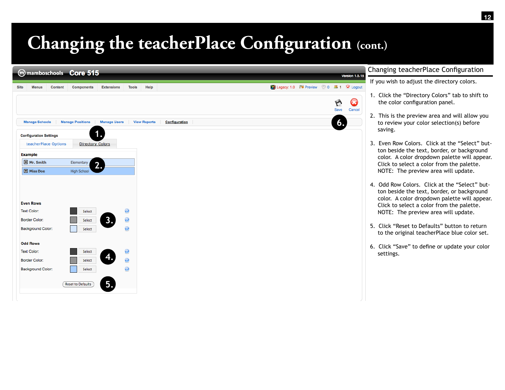# **Changing the teacherPlace Configuration (cont.)**



### Changing teacherPlace Configuration

If you wish to adjust the directory colors.

- 1. Click the "Directory Colors" tab to shift to the color configuration panel.
- 2. This is the preview area and will allow you to review your color selection(s) before saving.
- 3. Even Row Colors. Click at the "Select" button beside the text, border, or background color. A color dropdown palette will appear. Click to select a color from the palette. NOTE: The preview area will update.
- 4. Odd Row Colors. Click at the "Select" button beside the text, border, or background color. A color dropdown palette will appear. Click to select a color from the palette. NOTE: The preview area will update.
- 5. Click "Reset to Defaults" button to return to the original teacherPlace blue color set.
- 6. Click "Save" to define or update your color settings.